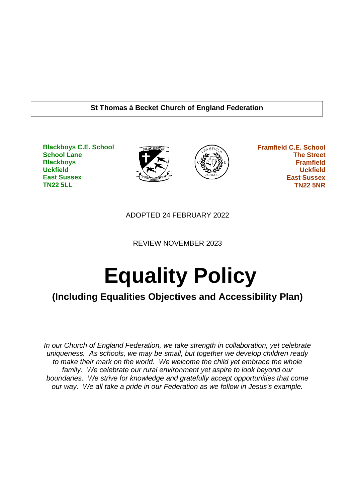### **St Thomas à Becket Church of England Federation**

**Blackboys C.E. School School Lane Blackboys Uckfield East Sussex TN22 5LL**





 **Framfield C.E. School The Street Framfield Uckfield East Sussex TN22 5NR**

ADOPTED 24 FEBRUARY 2022

REVIEW NOVEMBER 2023

# **Equality Policy**

# **(Including Equalities Objectives and Accessibility Plan)**

*In our Church of England Federation, we take strength in collaboration, yet celebrate uniqueness. As schools, we may be small, but together we develop children ready to make their mark on the world. We welcome the child yet embrace the whole family. We celebrate our rural environment yet aspire to look beyond our boundaries. We strive for knowledge and gratefully accept opportunities that come our way. We all take a pride in our Federation as we follow in Jesus's example.*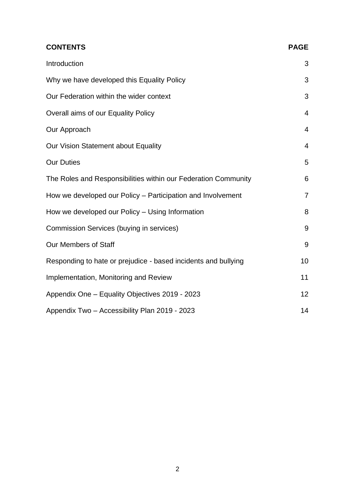| <b>CONTENTS</b>                                                | <b>PAGE</b>     |
|----------------------------------------------------------------|-----------------|
| Introduction                                                   | 3               |
| Why we have developed this Equality Policy                     | 3               |
| Our Federation within the wider context                        | 3               |
| Overall aims of our Equality Policy                            | $\overline{4}$  |
| Our Approach                                                   | $\overline{4}$  |
| Our Vision Statement about Equality                            | $\overline{4}$  |
| <b>Our Duties</b>                                              | 5               |
| The Roles and Responsibilities within our Federation Community | 6               |
| How we developed our Policy - Participation and Involvement    | $\overline{7}$  |
| How we developed our Policy – Using Information                | 8               |
| Commission Services (buying in services)                       | 9               |
| Our Members of Staff                                           | 9               |
| Responding to hate or prejudice - based incidents and bullying | 10              |
| Implementation, Monitoring and Review                          | 11              |
| Appendix One - Equality Objectives 2019 - 2023                 | 12 <sub>2</sub> |
| Appendix Two - Accessibility Plan 2019 - 2023                  | 14              |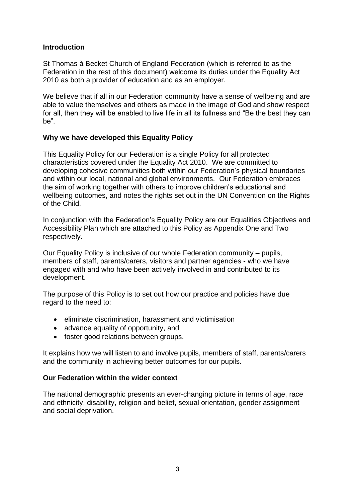#### **Introduction**

St Thomas à Becket Church of England Federation (which is referred to as the Federation in the rest of this document) welcome its duties under the Equality Act 2010 as both a provider of education and as an employer.

We believe that if all in our Federation community have a sense of wellbeing and are able to value themselves and others as made in the image of God and show respect for all, then they will be enabled to live life in all its fullness and "Be the best they can be".

## **Why we have developed this Equality Policy**

This Equality Policy for our Federation is a single Policy for all protected characteristics covered under the Equality Act 2010. We are committed to developing cohesive communities both within our Federation's physical boundaries and within our local, national and global environments. Our Federation embraces the aim of working together with others to improve children's educational and wellbeing outcomes, and notes the rights set out in the UN Convention on the Rights of the Child.

In conjunction with the Federation's Equality Policy are our Equalities Objectives and Accessibility Plan which are attached to this Policy as Appendix One and Two respectively.

Our Equality Policy is inclusive of our whole Federation community – pupils, members of staff, parents/carers, visitors and partner agencies - who we have engaged with and who have been actively involved in and contributed to its development.

The purpose of this Policy is to set out how our practice and policies have due regard to the need to:

- eliminate discrimination, harassment and victimisation
- advance equality of opportunity, and
- foster good relations between groups.

It explains how we will listen to and involve pupils, members of staff, parents/carers and the community in achieving better outcomes for our pupils.

#### **Our Federation within the wider context**

The national demographic presents an ever-changing picture in terms of age, race and ethnicity, disability, religion and belief, sexual orientation, gender assignment and social deprivation.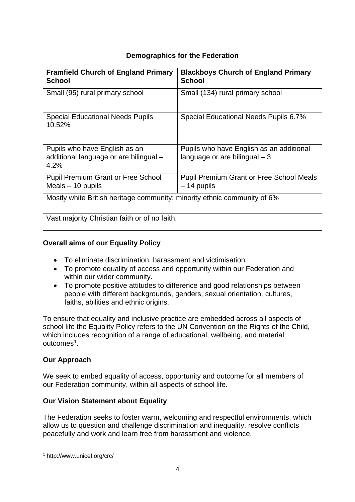| Demographics for the Federation                                                 |                                                                            |  |  |  |  |
|---------------------------------------------------------------------------------|----------------------------------------------------------------------------|--|--|--|--|
| <b>Framfield Church of England Primary</b><br>School                            | <b>Blackboys Church of England Primary</b><br><b>School</b>                |  |  |  |  |
| Small (95) rural primary school                                                 | Small (134) rural primary school                                           |  |  |  |  |
| <b>Special Educational Needs Pupils</b><br>10.52%                               | Special Educational Needs Pupils 6.7%                                      |  |  |  |  |
| Pupils who have English as an<br>additional language or are bilingual -<br>4.2% | Pupils who have English as an additional<br>language or are bilingual $-3$ |  |  |  |  |
| <b>Pupil Premium Grant or Free School</b><br>Meals $-10$ pupils                 | <b>Pupil Premium Grant or Free School Meals</b><br>$-14$ pupils            |  |  |  |  |
| Mostly white British heritage community: minority ethnic community of 6%        |                                                                            |  |  |  |  |
| Vast majority Christian faith or of no faith.                                   |                                                                            |  |  |  |  |

## **Overall aims of our Equality Policy**

- To eliminate discrimination, harassment and victimisation.
- To promote equality of access and opportunity within our Federation and within our wider community.
- To promote positive attitudes to difference and good relationships between people with different backgrounds, genders, sexual orientation, cultures, faiths, abilities and ethnic origins.

To ensure that equality and inclusive practice are embedded across all aspects of school life the Equality Policy refers to the UN Convention on the Rights of the Child, which includes recognition of a range of educational, wellbeing, and material outcomes<sup>1</sup>.

## **Our Approach**

We seek to embed equality of access, opportunity and outcome for all members of our Federation community, within all aspects of school life.

## **Our Vision Statement about Equality**

The Federation seeks to foster warm, welcoming and respectful environments, which allow us to question and challenge discrimination and inequality, resolve conflicts peacefully and work and learn free from harassment and violence.

<sup>1</sup> http://www.unicef.org/crc/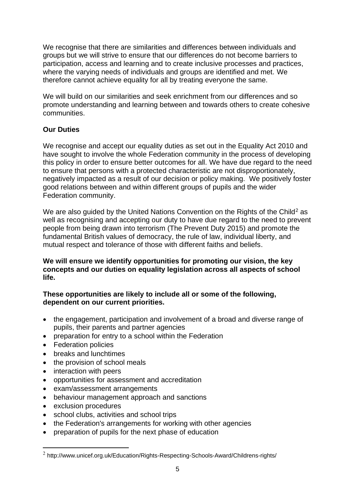We recognise that there are similarities and differences between individuals and groups but we will strive to ensure that our differences do not become barriers to participation, access and learning and to create inclusive processes and practices, where the varying needs of individuals and groups are identified and met. We therefore cannot achieve equality for all by treating everyone the same.

We will build on our similarities and seek enrichment from our differences and so promote understanding and learning between and towards others to create cohesive communities.

## **Our Duties**

We recognise and accept our equality duties as set out in the Equality Act 2010 and have sought to involve the whole Federation community in the process of developing this policy in order to ensure better outcomes for all. We have due regard to the need to ensure that persons with a protected characteristic are not disproportionately, negatively impacted as a result of our decision or policy making. We positively foster good relations between and within different groups of pupils and the wider Federation community.

We are also guided by the United Nations Convention on the Rights of the Child<sup>2</sup> as well as recognising and accepting our duty to have due regard to the need to prevent people from being drawn into terrorism (The Prevent Duty 2015) and promote the fundamental British values of democracy, the rule of law, individual liberty, and mutual respect and tolerance of those with different faiths and beliefs.

**We will ensure we identify opportunities for promoting our vision, the key concepts and our duties on equality legislation across all aspects of school life.** 

**These opportunities are likely to include all or some of the following, dependent on our current priorities.** 

- the engagement, participation and involvement of a broad and diverse range of pupils, their parents and partner agencies
- preparation for entry to a school within the Federation
- Federation policies
- breaks and lunchtimes
- the provision of school meals
- interaction with peers
- opportunities for assessment and accreditation
- exam/assessment arrangements
- behaviour management approach and sanctions
- exclusion procedures
- school clubs, activities and school trips
- the Federation's arrangements for working with other agencies
- preparation of pupils for the next phase of education

 $^2$  http://www.unicef.org.uk/Education/Rights-Respecting-Schools-Award/Childrens-rights/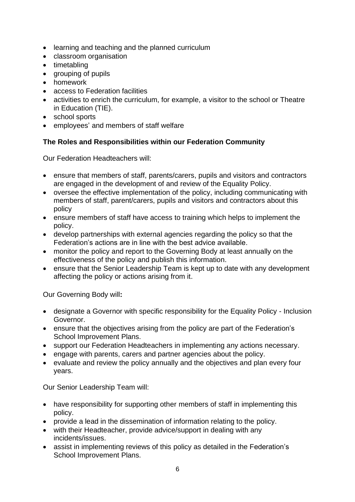- learning and teaching and the planned curriculum
- classroom organisation
- timetabling
- grouping of pupils
- homework
- access to Federation facilities
- activities to enrich the curriculum, for example, a visitor to the school or Theatre in Education (TIE).
- school sports
- employees' and members of staff welfare

## **The Roles and Responsibilities within our Federation Community**

Our Federation Headteachers will:

- ensure that members of staff, parents/carers, pupils and visitors and contractors are engaged in the development of and review of the Equality Policy.
- oversee the effective implementation of the policy, including communicating with members of staff, parent/carers, pupils and visitors and contractors about this policy
- ensure members of staff have access to training which helps to implement the policy.
- develop partnerships with external agencies regarding the policy so that the Federation's actions are in line with the best advice available.
- monitor the policy and report to the Governing Body at least annually on the effectiveness of the policy and publish this information.
- ensure that the Senior Leadership Team is kept up to date with any development affecting the policy or actions arising from it.

Our Governing Body will**:**

- designate a Governor with specific responsibility for the Equality Policy Inclusion Governor.
- ensure that the objectives arising from the policy are part of the Federation's School Improvement Plans.
- support our Federation Headteachers in implementing any actions necessary.
- engage with parents, carers and partner agencies about the policy.
- evaluate and review the policy annually and the objectives and plan every four years.

Our Senior Leadership Team will:

- have responsibility for supporting other members of staff in implementing this policy.
- provide a lead in the dissemination of information relating to the policy.
- with their Headteacher, provide advice/support in dealing with any incidents/issues.
- assist in implementing reviews of this policy as detailed in the Federation's School Improvement Plans.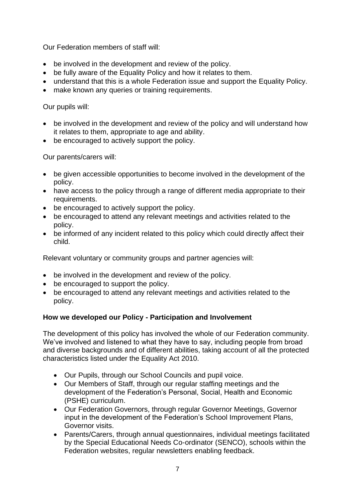Our Federation members of staff will:

- be involved in the development and review of the policy.
- be fully aware of the Equality Policy and how it relates to them.
- understand that this is a whole Federation issue and support the Equality Policy.
- make known any queries or training requirements.

#### Our pupils will:

- be involved in the development and review of the policy and will understand how it relates to them, appropriate to age and ability.
- be encouraged to actively support the policy.

Our parents/carers will:

- be given accessible opportunities to become involved in the development of the policy.
- have access to the policy through a range of different media appropriate to their requirements.
- be encouraged to actively support the policy.
- be encouraged to attend any relevant meetings and activities related to the policy.
- be informed of any incident related to this policy which could directly affect their child.

Relevant voluntary or community groups and partner agencies will:

- be involved in the development and review of the policy.
- be encouraged to support the policy.
- be encouraged to attend any relevant meetings and activities related to the policy.

## **How we developed our Policy - Participation and Involvement**

The development of this policy has involved the whole of our Federation community. We've involved and listened to what they have to say, including people from broad and diverse backgrounds and of different abilities, taking account of all the protected characteristics listed under the Equality Act 2010.

- Our Pupils, through our School Councils and pupil voice.
- Our Members of Staff, through our regular staffing meetings and the development of the Federation's Personal, Social, Health and Economic (PSHE) curriculum.
- Our Federation Governors, through regular Governor Meetings, Governor input in the development of the Federation's School Improvement Plans, Governor visits.
- Parents/Carers, through annual questionnaires, individual meetings facilitated by the Special Educational Needs Co-ordinator (SENCO), schools within the Federation websites, regular newsletters enabling feedback.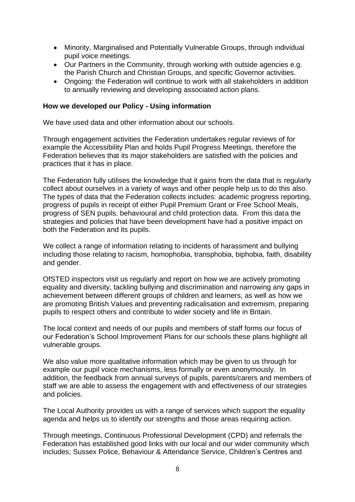- Minority, Marginalised and Potentially Vulnerable Groups, through individual pupil voice meetings.
- Our Partners in the Community, through working with outside agencies e.g. the Parish Church and Christian Groups, and specific Governor activities.
- Ongoing: the Federation will continue to work with all stakeholders in addition to annually reviewing and developing associated action plans.

#### **How we developed our Policy - Using information**

We have used data and other information about our schools.

Through engagement activities the Federation undertakes regular reviews of for example the Accessibility Plan and holds Pupil Progress Meetings, therefore the Federation believes that its major stakeholders are satisfied with the policies and practices that it has in place.

The Federation fully utilises the knowledge that it gains from the data that is regularly collect about ourselves in a variety of ways and other people help us to do this also. The types of data that the Federation collects includes: academic progress reporting, progress of pupils in receipt of either Pupil Premium Grant or Free School Meals, progress of SEN pupils, behavioural and child protection data. From this data the strategies and policies that have been development have had a positive impact on both the Federation and its pupils.

We collect a range of information relating to incidents of harassment and bullying including those relating to racism, homophobia, transphobia, biphobia, faith, disability and gender.

OfSTED inspectors visit us regularly and report on how we are actively promoting equality and diversity, tackling bullying and discrimination and narrowing any gaps in achievement between different groups of children and learners, as well as how we are promoting British Values and preventing radicalisation and extremism, preparing pupils to respect others and contribute to wider society and life in Britain.

The local context and needs of our pupils and members of staff forms our focus of our Federation's School Improvement Plans for our schools these plans highlight all vulnerable groups.

We also value more qualitative information which may be given to us through for example our pupil voice mechanisms, less formally or even anonymously. In addition, the feedback from annual surveys of pupils, parents/carers and members of staff we are able to assess the engagement with and effectiveness of our strategies and policies.

The Local Authority provides us with a range of services which support the equality agenda and helps us to identify our strengths and those areas requiring action.

Through meetings, Continuous Professional Development (CPD) and referrals the Federation has established good links with our local and our wider community which includes; Sussex Police, Behaviour & Attendance Service, Children's Centres and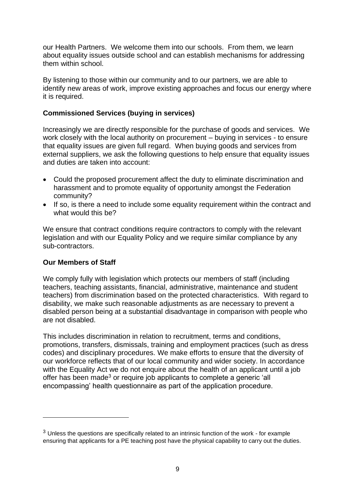our Health Partners. We welcome them into our schools. From them, we learn about equality issues outside school and can establish mechanisms for addressing them within school.

By listening to those within our community and to our partners, we are able to identify new areas of work, improve existing approaches and focus our energy where it is required.

#### **Commissioned Services (buying in services)**

Increasingly we are directly responsible for the purchase of goods and services. We work closely with the local authority on procurement – buying in services - to ensure that equality issues are given full regard. When buying goods and services from external suppliers, we ask the following questions to help ensure that equality issues and duties are taken into account:

- Could the proposed procurement affect the duty to eliminate discrimination and harassment and to promote equality of opportunity amongst the Federation community?
- If so, is there a need to include some equality requirement within the contract and what would this be?

We ensure that contract conditions require contractors to comply with the relevant legislation and with our Equality Policy and we require similar compliance by any sub-contractors.

## **Our Members of Staff**

We comply fully with legislation which protects our members of staff (including teachers, teaching assistants, financial, administrative, maintenance and student teachers) from discrimination based on the protected characteristics. With regard to disability, we make such reasonable adjustments as are necessary to prevent a disabled person being at a substantial disadvantage in comparison with people who are not disabled.

This includes discrimination in relation to recruitment, terms and conditions, promotions, transfers, dismissals, training and employment practices (such as dress codes) and disciplinary procedures. We make efforts to ensure that the diversity of our workforce reflects that of our local community and wider society. In accordance with the Equality Act we do not enquire about the health of an applicant until a job offer has been made<sup>3</sup> or require job applicants to complete a generic 'all encompassing' health questionnaire as part of the application procedure.

<sup>&</sup>lt;sup>3</sup> Unless the questions are specifically related to an intrinsic function of the work - for example ensuring that applicants for a PE teaching post have the physical capability to carry out the duties.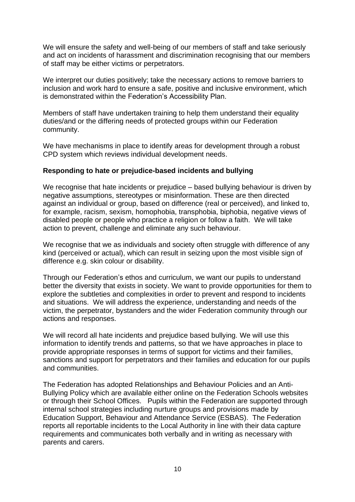We will ensure the safety and well-being of our members of staff and take seriously and act on incidents of harassment and discrimination recognising that our members of staff may be either victims or perpetrators.

We interpret our duties positively; take the necessary actions to remove barriers to inclusion and work hard to ensure a safe, positive and inclusive environment, which is demonstrated within the Federation's Accessibility Plan.

Members of staff have undertaken training to help them understand their equality duties/and or the differing needs of protected groups within our Federation community.

We have mechanisms in place to identify areas for development through a robust CPD system which reviews individual development needs.

#### **Responding to hate or prejudice-based incidents and bullying**

We recognise that hate incidents or prejudice – based bullying behaviour is driven by negative assumptions, stereotypes or misinformation. These are then directed against an individual or group, based on difference (real or perceived), and linked to, for example, racism, sexism, homophobia, transphobia, biphobia, negative views of disabled people or people who practice a religion or follow a faith. We will take action to prevent, challenge and eliminate any such behaviour.

We recognise that we as individuals and society often struggle with difference of any kind (perceived or actual), which can result in seizing upon the most visible sign of difference e.g. skin colour or disability.

Through our Federation's ethos and curriculum, we want our pupils to understand better the diversity that exists in society. We want to provide opportunities for them to explore the subtleties and complexities in order to prevent and respond to incidents and situations. We will address the experience, understanding and needs of the victim, the perpetrator, bystanders and the wider Federation community through our actions and responses.

We will record all hate incidents and prejudice based bullying. We will use this information to identify trends and patterns, so that we have approaches in place to provide appropriate responses in terms of support for victims and their families, sanctions and support for perpetrators and their families and education for our pupils and communities.

The Federation has adopted Relationships and Behaviour Policies and an Anti-Bullying Policy which are available either online on the Federation Schools websites or through their School Offices. Pupils within the Federation are supported through internal school strategies including nurture groups and provisions made by Education Support, Behaviour and Attendance Service (ESBAS). The Federation reports all reportable incidents to the Local Authority in line with their data capture requirements and communicates both verbally and in writing as necessary with parents and carers.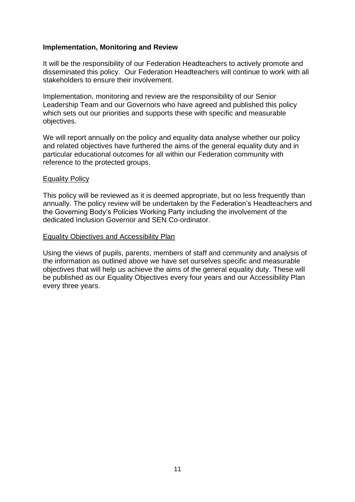#### **Implementation, Monitoring and Review**

It will be the responsibility of our Federation Headteachers to actively promote and disseminated this policy. Our Federation Headteachers will continue to work with all stakeholders to ensure their involvement.

Implementation, monitoring and review are the responsibility of our Senior Leadership Team and our Governors who have agreed and published this policy which sets out our priorities and supports these with specific and measurable objectives.

We will report annually on the policy and equality data analyse whether our policy and related objectives have furthered the aims of the general equality duty and in particular educational outcomes for all within our Federation community with reference to the protected groups.

#### Equality Policy

This policy will be reviewed as it is deemed appropriate, but no less frequently than annually. The policy review will be undertaken by the Federation's Headteachers and the Governing Body's Policies Working Party including the involvement of the dedicated Inclusion Governor and SEN Co-ordinator.

#### Equality Objectives and Accessibility Plan

Using the views of pupils, parents, members of staff and community and analysis of the information as outlined above we have set ourselves specific and measurable objectives that will help us achieve the aims of the general equality duty. These will be published as our Equality Objectives every four years and our Accessibility Plan every three years.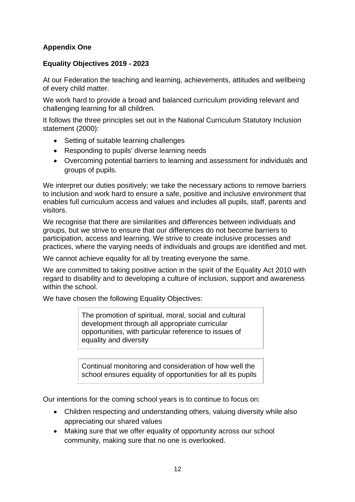## **Appendix One**

## **Equality Objectives 2019 - 2023**

At our Federation the teaching and learning, achievements, attitudes and wellbeing of every child matter.

We work hard to provide a broad and balanced curriculum providing relevant and challenging learning for all children.

It follows the three principles set out in the National Curriculum Statutory Inclusion statement (2000):

- Setting of suitable learning challenges
- Responding to pupils' diverse learning needs
- Overcoming potential barriers to learning and assessment for individuals and groups of pupils.

We interpret our duties positively; we take the necessary actions to remove barriers to inclusion and work hard to ensure a safe, positive and inclusive environment that enables full curriculum access and values and includes all pupils, staff, parents and visitors.

We recognise that there are similarities and differences between individuals and groups, but we strive to ensure that our differences do not become barriers to participation, access and learning. We strive to create inclusive processes and practices, where the varying needs of individuals and groups are identified and met.

We cannot achieve equality for all by treating everyone the same.

We are committed to taking positive action in the spirit of the Equality Act 2010 with regard to disability and to developing a culture of inclusion, support and awareness within the school.

We have chosen the following Equality Objectives:

The promotion of spiritual, moral, social and cultural development through all appropriate curricular opportunities, with particular reference to issues of equality and diversity

Continual monitoring and consideration of how well the school ensures equality of opportunities for all its pupils

Our intentions for the coming school years is to continue to focus on:

- Children respecting and understanding others, valuing diversity while also appreciating our shared values
- Making sure that we offer equality of opportunity across our school community, making sure that no one is overlooked.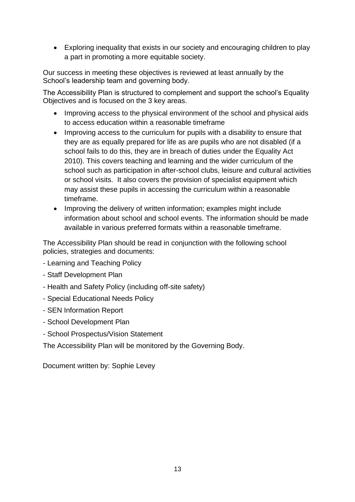• Exploring inequality that exists in our society and encouraging children to play a part in promoting a more equitable society.

Our success in meeting these objectives is reviewed at least annually by the School's leadership team and governing body.

The Accessibility Plan is structured to complement and support the school's Equality Objectives and is focused on the 3 key areas.

- Improving access to the physical environment of the school and physical aids to access education within a reasonable timeframe
- Improving access to the curriculum for pupils with a disability to ensure that they are as equally prepared for life as are pupils who are not disabled (if a school fails to do this, they are in breach of duties under the Equality Act 2010). This covers teaching and learning and the wider curriculum of the school such as participation in after-school clubs, leisure and cultural activities or school visits. It also covers the provision of specialist equipment which may assist these pupils in accessing the curriculum within a reasonable timeframe.
- Improving the delivery of written information; examples might include information about school and school events. The information should be made available in various preferred formats within a reasonable timeframe.

The Accessibility Plan should be read in conjunction with the following school policies, strategies and documents:

- Learning and Teaching Policy
- Staff Development Plan
- Health and Safety Policy (including off-site safety)
- Special Educational Needs Policy
- SEN Information Report
- School Development Plan
- School Prospectus/Vision Statement

The Accessibility Plan will be monitored by the Governing Body.

Document written by: Sophie Levey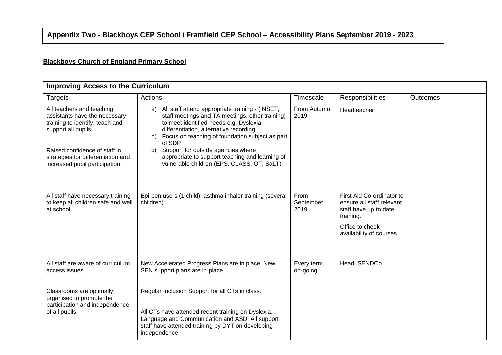## **Appendix Two - Blackboys CEP School / Framfield CEP School – Accessibility Plans September 2019 - 2023**

## **Blackboys Church of England Primary School**

| <b>Improving Access to the Curriculum</b>                                                                                                             |                                                                                                                                                                                                                                                                                                         |                           |                                                                                              |                 |
|-------------------------------------------------------------------------------------------------------------------------------------------------------|---------------------------------------------------------------------------------------------------------------------------------------------------------------------------------------------------------------------------------------------------------------------------------------------------------|---------------------------|----------------------------------------------------------------------------------------------|-----------------|
| <b>Targets</b>                                                                                                                                        | Actions                                                                                                                                                                                                                                                                                                 | Timescale                 | Responsibilities                                                                             | <b>Outcomes</b> |
| All teachers and teaching<br>assistants have the necessary<br>training to identify, teach and<br>support all pupils.<br>Raised confidence of staff in | All staff attend appropriate training - (INSET,<br>a)<br>staff meetings and TA meetings, other training)<br>to meet identified needs e.g. Dyslexia,<br>differentiation, alternative recording.<br>Focus on teaching of foundation subject as part<br>b)<br>of SDP<br>Support for outside agencies where | From Autumn<br>2019       | Headteacher                                                                                  |                 |
| strategies for differentiation and<br>increased pupil participation.                                                                                  | C)<br>appropriate to support teaching and learning of<br>vulnerable children (EPS, CLASS, OT, SaLT)                                                                                                                                                                                                     |                           |                                                                                              |                 |
| All staff have necessary training<br>to keep all children safe and well<br>at school.                                                                 | Epi-pen users (1 child), asthma inhaler training (several<br>children)                                                                                                                                                                                                                                  | From<br>September<br>2019 | First Aid Co-ordinator to<br>ensure all staff relevant<br>staff have up to date<br>training. |                 |
|                                                                                                                                                       |                                                                                                                                                                                                                                                                                                         |                           | Office to check<br>availability of courses.                                                  |                 |
| All staff are aware of curriculum<br>access issues.                                                                                                   | New Accelerated Progress Plans are in place. New<br>SEN support plans are in place                                                                                                                                                                                                                      | Every term,<br>on-going   | Head, SENDCo                                                                                 |                 |
| Classrooms are optimally<br>organised to promote the<br>participation and independence                                                                | Regular Inclusion Support for all CTs in class.                                                                                                                                                                                                                                                         |                           |                                                                                              |                 |
| of all pupils                                                                                                                                         | All CTs have attended recent training on Dyslexia,<br>Language and Communication and ASD. All support<br>staff have attended training by DYT on developing<br>independence.                                                                                                                             |                           |                                                                                              |                 |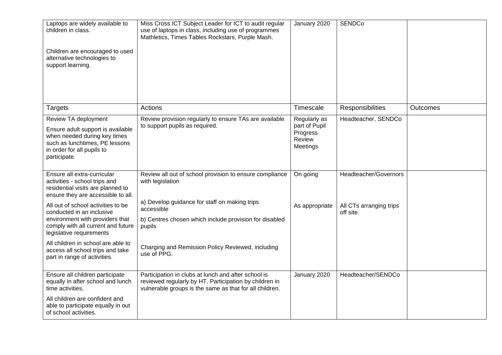| Laptops are widely available to<br>children in class.<br>Children are encouraged to used<br>alternative technologies to<br>support learning.                                                                                                                                                                                                                                                                              | Miss Cross ICT Subject Leader for ICT to audit regular<br>use of laptops in class, including use of programmes<br>Mathletics, Times Tables Rockstars, Purple Mash.                                                                                                                 | January 2020                                                    | <b>SENDCo</b>                                                 |                 |
|---------------------------------------------------------------------------------------------------------------------------------------------------------------------------------------------------------------------------------------------------------------------------------------------------------------------------------------------------------------------------------------------------------------------------|------------------------------------------------------------------------------------------------------------------------------------------------------------------------------------------------------------------------------------------------------------------------------------|-----------------------------------------------------------------|---------------------------------------------------------------|-----------------|
| Targets                                                                                                                                                                                                                                                                                                                                                                                                                   | Actions                                                                                                                                                                                                                                                                            | Timescale                                                       | Responsibilities                                              | <b>Outcomes</b> |
| Review TA deployment<br>Ensure adult support is available<br>when needed during key times<br>such as lunchtimes, PE lessons<br>in order for all pupils to<br>participate.                                                                                                                                                                                                                                                 | Review provision regularly to ensure TAs are available<br>to support pupils as required.                                                                                                                                                                                           | Regularly as<br>part of Pupil<br>Progress<br>Review<br>Meetings | Headteacher, SENDCo                                           |                 |
| Ensure all extra-curricular<br>activities - school trips and<br>residential visits are planned to<br>ensure they are accessible to all.<br>All out of school activities to be<br>conducted in an inclusive<br>environment with providers that<br>comply with all current and future<br>legislative requirements<br>All children in school are able to<br>access all school trips and take<br>part in range of activities. | Review all out of school provision to ensure compliance<br>with legislation<br>a) Develop guidance for staff on making trips<br>accessible<br>b) Centres chosen which include provision for disabled<br>pupils<br>Charging and Remission Policy Reviewed, including<br>use of PPG. | On going<br>As appropriate                                      | Headteacher/Governors<br>All CTs arranging trips<br>off site. |                 |
| Ensure all children participate<br>equally in after school and lunch<br>time activities.<br>All children are confident and<br>able to participate equally in out<br>of school activities.                                                                                                                                                                                                                                 | Participation in clubs at lunch and after school is<br>reviewed regularly by HT. Participation by children in<br>vulnerable groups is the same as that for all children.                                                                                                           | January 2020                                                    | Headteacher/SENDCo                                            |                 |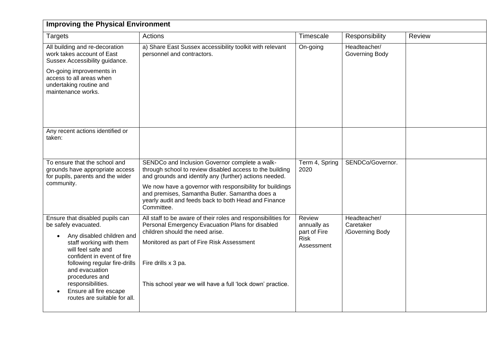| <b>Improving the Physical Environment</b>                                                                                                                                                                                                                                                                               |                                                                                                                                                                                                                                                                                                                                                          |                                                                           |                                              |        |  |
|-------------------------------------------------------------------------------------------------------------------------------------------------------------------------------------------------------------------------------------------------------------------------------------------------------------------------|----------------------------------------------------------------------------------------------------------------------------------------------------------------------------------------------------------------------------------------------------------------------------------------------------------------------------------------------------------|---------------------------------------------------------------------------|----------------------------------------------|--------|--|
| <b>Targets</b>                                                                                                                                                                                                                                                                                                          | Actions                                                                                                                                                                                                                                                                                                                                                  | Timescale                                                                 | Responsibility                               | Review |  |
| All building and re-decoration<br>work takes account of East<br>Sussex Accessibility guidance.<br>On-going improvements in<br>access to all areas when<br>undertaking routine and<br>maintenance works.                                                                                                                 | a) Share East Sussex accessibility toolkit with relevant<br>personnel and contractors.                                                                                                                                                                                                                                                                   | On-going                                                                  | Headteacher/<br>Governing Body               |        |  |
| Any recent actions identified or<br>taken:                                                                                                                                                                                                                                                                              |                                                                                                                                                                                                                                                                                                                                                          |                                                                           |                                              |        |  |
| To ensure that the school and<br>grounds have appropriate access<br>for pupils, parents and the wider<br>community.                                                                                                                                                                                                     | SENDCo and Inclusion Governor complete a walk-<br>through school to review disabled access to the building<br>and grounds and identify any (further) actions needed.<br>We now have a governor with responsibility for buildings<br>and premises, Samantha Butler. Samantha does a<br>yearly audit and feeds back to both Head and Finance<br>Committee. | Term 4, Spring<br>2020                                                    | SENDCo/Governor.                             |        |  |
| Ensure that disabled pupils can<br>be safely evacuated.<br>Any disabled children and<br>staff working with them<br>will feel safe and<br>confident in event of fire<br>following regular fire-drills<br>and evacuation<br>procedures and<br>responsibilities.<br>Ensure all fire escape<br>routes are suitable for all. | All staff to be aware of their roles and responsibilities for<br>Personal Emergency Evacuation Plans for disabled<br>children should the need arise.<br>Monitored as part of Fire Risk Assessment<br>Fire drills x 3 pa.<br>This school year we will have a full 'lock down' practice.                                                                   | <b>Review</b><br>annually as<br>part of Fire<br><b>Risk</b><br>Assessment | Headteacher/<br>Caretaker<br>/Governing Body |        |  |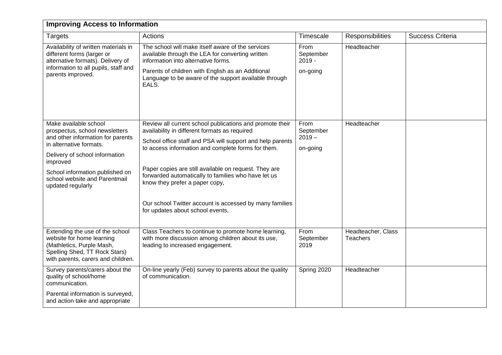| <b>Improving Access to Information</b>                                                                                                                           |                                                                                                                                                                                                   |                                           |                                       |                  |  |
|------------------------------------------------------------------------------------------------------------------------------------------------------------------|---------------------------------------------------------------------------------------------------------------------------------------------------------------------------------------------------|-------------------------------------------|---------------------------------------|------------------|--|
| <b>Targets</b>                                                                                                                                                   | Actions                                                                                                                                                                                           | Timescale                                 | Responsibilities                      | Success Criteria |  |
| Availability of written materials in<br>different forms (larger or<br>alternative formats). Delivery of<br>information to all pupils, staff and                  | The school will make itself aware of the services<br>available through the LEA for converting written<br>information into alternative forms.<br>Parents of children with English as an Additional | From<br>September<br>$2019 -$<br>on-going | Headteacher                           |                  |  |
| parents improved.                                                                                                                                                | Language to be aware of the support available through<br>EALS.                                                                                                                                    |                                           |                                       |                  |  |
| Make available school<br>prospectus, school newsletters<br>and other information for parents<br>in alternative formats.                                          | Review all current school publications and promote their<br>availability in different formats as required<br>School office staff and PSA will support and help parents                            | From<br>September<br>$2019 -$             | Headteacher                           |                  |  |
| Delivery of school information<br>improved                                                                                                                       | to access information and complete forms for them.                                                                                                                                                | on-going                                  |                                       |                  |  |
| School information published on<br>school website and Parentmail<br>updated regularly                                                                            | Paper copies are still available on request. They are<br>forwarded automatically to families who have let us<br>know they prefer a paper copy,                                                    |                                           |                                       |                  |  |
|                                                                                                                                                                  | Our school Twitter account is accessed by many families<br>for updates about school events,                                                                                                       |                                           |                                       |                  |  |
| Extending the use of the school<br>website for home learning<br>(Mathletics, Purple Mash,<br>Spelling Shed, TT Rock Stars)<br>with parents, carers and children. | Class Teachers to continue to promote home learning,<br>with more discussion among children about its use,<br>leading to increased engagement.                                                    | From<br>September<br>2019                 | Headteacher, Class<br><b>Teachers</b> |                  |  |
| Survey parents/carers about the<br>quality of school/home<br>communication.                                                                                      | On-line yearly (Feb) survey to parents about the quality<br>of communication.                                                                                                                     | Spring 2020                               | Headteacher                           |                  |  |
| Parental information is surveyed,<br>and action take and appropriate                                                                                             |                                                                                                                                                                                                   |                                           |                                       |                  |  |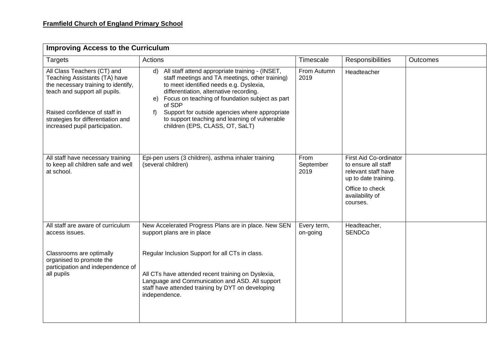| <b>Improving Access to the Curriculum</b>                                                                                                                             |                                                                                                                                                                                                                                                                                                                               |                           |                                                                                                                                                |                 |
|-----------------------------------------------------------------------------------------------------------------------------------------------------------------------|-------------------------------------------------------------------------------------------------------------------------------------------------------------------------------------------------------------------------------------------------------------------------------------------------------------------------------|---------------------------|------------------------------------------------------------------------------------------------------------------------------------------------|-----------------|
| <b>Targets</b>                                                                                                                                                        | Actions                                                                                                                                                                                                                                                                                                                       | Timescale                 | Responsibilities                                                                                                                               | <b>Outcomes</b> |
| All Class Teachers (CT) and<br>Teaching Assistants (TA) have<br>the necessary training to identify,<br>teach and support all pupils.<br>Raised confidence of staff in | $\mathsf{d}$<br>All staff attend appropriate training - (INSET,<br>staff meetings and TA meetings, other training)<br>to meet identified needs e.g. Dyslexia,<br>differentiation, alternative recording.<br>Focus on teaching of foundation subject as part<br>e)<br>of SDP<br>Support for outside agencies where appropriate | From Autumn<br>2019       | Headteacher                                                                                                                                    |                 |
| strategies for differentiation and<br>increased pupil participation.                                                                                                  | to support teaching and learning of vulnerable<br>children (EPS, CLASS, OT, SaLT)                                                                                                                                                                                                                                             |                           |                                                                                                                                                |                 |
| All staff have necessary training<br>to keep all children safe and well<br>at school.                                                                                 | Epi-pen users (3 children), asthma inhaler training<br>(several children)                                                                                                                                                                                                                                                     | From<br>September<br>2019 | First Aid Co-ordinator<br>to ensure all staff<br>relevant staff have<br>up to date training.<br>Office to check<br>availability of<br>courses. |                 |
| All staff are aware of curriculum<br>access issues.                                                                                                                   | New Accelerated Progress Plans are in place. New SEN<br>support plans are in place                                                                                                                                                                                                                                            | Every term,<br>on-going   | Headteacher,<br><b>SENDCo</b>                                                                                                                  |                 |
| Classrooms are optimally<br>organised to promote the<br>participation and independence of<br>all pupils                                                               | Regular Inclusion Support for all CTs in class.<br>All CTs have attended recent training on Dyslexia,<br>Language and Communication and ASD. All support<br>staff have attended training by DYT on developing<br>independence.                                                                                                |                           |                                                                                                                                                |                 |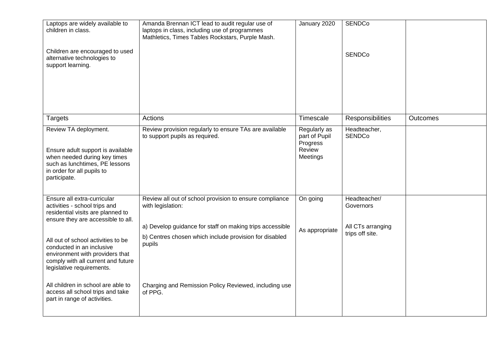| Laptops are widely available to<br>children in class.                                                                                                                      | Amanda Brennan ICT lead to audit regular use of<br>laptops in class, including use of programmes<br>Mathletics, Times Tables Rockstars, Purple Mash. | January 2020                                                    | <b>SENDCo</b>                        |                 |
|----------------------------------------------------------------------------------------------------------------------------------------------------------------------------|------------------------------------------------------------------------------------------------------------------------------------------------------|-----------------------------------------------------------------|--------------------------------------|-----------------|
| Children are encouraged to used<br>alternative technologies to<br>support learning.                                                                                        |                                                                                                                                                      |                                                                 | <b>SENDCo</b>                        |                 |
|                                                                                                                                                                            |                                                                                                                                                      |                                                                 |                                      |                 |
| <b>Targets</b>                                                                                                                                                             | Actions                                                                                                                                              | Timescale                                                       | Responsibilities                     | <b>Outcomes</b> |
| Review TA deployment.<br>Ensure adult support is available<br>when needed during key times<br>such as lunchtimes, PE lessons<br>in order for all pupils to<br>participate. | Review provision regularly to ensure TAs are available<br>to support pupils as required.                                                             | Regularly as<br>part of Pupil<br>Progress<br>Review<br>Meetings | Headteacher,<br><b>SENDCo</b>        |                 |
| Ensure all extra-curricular<br>activities - school trips and<br>residential visits are planned to<br>ensure they are accessible to all.                                    | Review all out of school provision to ensure compliance<br>with legislation:                                                                         | On going                                                        | Headteacher/<br>Governors            |                 |
| All out of school activities to be<br>conducted in an inclusive<br>environment with providers that<br>comply with all current and future<br>legislative requirements.      | a) Develop guidance for staff on making trips accessible<br>b) Centres chosen which include provision for disabled<br>pupils                         | As appropriate                                                  | All CTs arranging<br>trips off site. |                 |
| All children in school are able to<br>access all school trips and take<br>part in range of activities.                                                                     | Charging and Remission Policy Reviewed, including use<br>of PPG.                                                                                     |                                                                 |                                      |                 |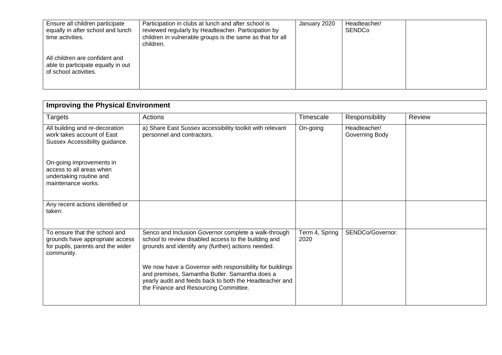| Ensure all children participate<br>equally in after school and lunch<br>time activities.      | Participation in clubs at lunch and after school is<br>reviewed regularly by Headteacher. Participation by<br>children in vulnerable groups is the same as that for all<br>children. | January 2020 | Headteacher/<br>SENDCo |  |
|-----------------------------------------------------------------------------------------------|--------------------------------------------------------------------------------------------------------------------------------------------------------------------------------------|--------------|------------------------|--|
| All children are confident and<br>able to participate equally in out<br>of school activities. |                                                                                                                                                                                      |              |                        |  |

| <b>Improving the Physical Environment</b>                                                                           |                                                                                                                                                                                                                |                        |                                |        |  |
|---------------------------------------------------------------------------------------------------------------------|----------------------------------------------------------------------------------------------------------------------------------------------------------------------------------------------------------------|------------------------|--------------------------------|--------|--|
| Targets                                                                                                             | Actions                                                                                                                                                                                                        | Timescale              | Responsibility                 | Review |  |
| All building and re-decoration<br>work takes account of East<br>Sussex Accessibility guidance.                      | a) Share East Sussex accessibility toolkit with relevant<br>personnel and contractors.                                                                                                                         | On-going               | Headteacher/<br>Governing Body |        |  |
| On-going improvements in<br>access to all areas when<br>undertaking routine and<br>maintenance works.               |                                                                                                                                                                                                                |                        |                                |        |  |
| Any recent actions identified or<br>taken:                                                                          |                                                                                                                                                                                                                |                        |                                |        |  |
| To ensure that the school and<br>grounds have appropriate access<br>for pupils, parents and the wider<br>community. | Senco and Inclusion Governor complete a walk-through<br>school to review disabled access to the building and<br>grounds and identify any (further) actions needed.                                             | Term 4, Spring<br>2020 | SENDCo/Governor.               |        |  |
|                                                                                                                     | We now have a Governor with responsibility for buildings<br>and premises, Samantha Butler. Samantha does a<br>yearly audit and feeds back to both the Headteacher and<br>the Finance and Resourcing Committee. |                        |                                |        |  |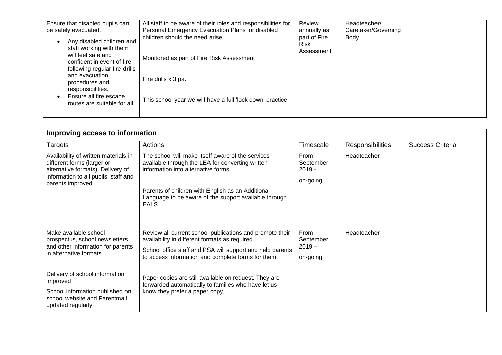| Ensure that disabled pupils can<br>be safely evacuated.                                                                                   | All staff to be aware of their roles and responsibilities for<br>Personal Emergency Evacuation Plans for disabled | Review<br>annually as                     | Headteacher/<br>Caretaker/Governing |  |
|-------------------------------------------------------------------------------------------------------------------------------------------|-------------------------------------------------------------------------------------------------------------------|-------------------------------------------|-------------------------------------|--|
| Any disabled children and<br>staff working with them<br>will feel safe and<br>confident in event of fire<br>following regular fire-drills | children should the need arise.<br>Monitored as part of Fire Risk Assessment                                      | part of Fire<br><b>Risk</b><br>Assessment | Body                                |  |
| and evacuation<br>procedures and<br>responsibilities.                                                                                     | Fire drills x 3 pa.                                                                                               |                                           |                                     |  |
| Ensure all fire escape<br>routes are suitable for all.                                                                                    | This school year we will have a full 'lock down' practice.                                                        |                                           |                                     |  |

| Improving access to information                                                                                                                                                                                                                                |                                                                                                                                                                                                                                                                                                                                                                                |                                           |                  |                  |
|----------------------------------------------------------------------------------------------------------------------------------------------------------------------------------------------------------------------------------------------------------------|--------------------------------------------------------------------------------------------------------------------------------------------------------------------------------------------------------------------------------------------------------------------------------------------------------------------------------------------------------------------------------|-------------------------------------------|------------------|------------------|
| <b>Targets</b>                                                                                                                                                                                                                                                 | Actions                                                                                                                                                                                                                                                                                                                                                                        | Timescale                                 | Responsibilities | Success Criteria |
| Availability of written materials in<br>different forms (larger or<br>alternative formats). Delivery of<br>information to all pupils, staff and<br>parents improved.                                                                                           | The school will make itself aware of the services<br>available through the LEA for converting written<br>information into alternative forms.<br>Parents of children with English as an Additional<br>Language to be aware of the support available through<br>EALS.                                                                                                            | From<br>September<br>$2019 -$<br>on-going | Headteacher      |                  |
| Make available school<br>prospectus, school newsletters<br>and other information for parents<br>in alternative formats.<br>Delivery of school information<br>improved<br>School information published on<br>school website and Parentmail<br>updated regularly | Review all current school publications and promote their<br>availability in different formats as required<br>School office staff and PSA will support and help parents<br>to access information and complete forms for them.<br>Paper copies are still available on request. They are<br>forwarded automatically to families who have let us<br>know they prefer a paper copy, | From<br>September<br>$2019 -$<br>on-going | Headteacher      |                  |